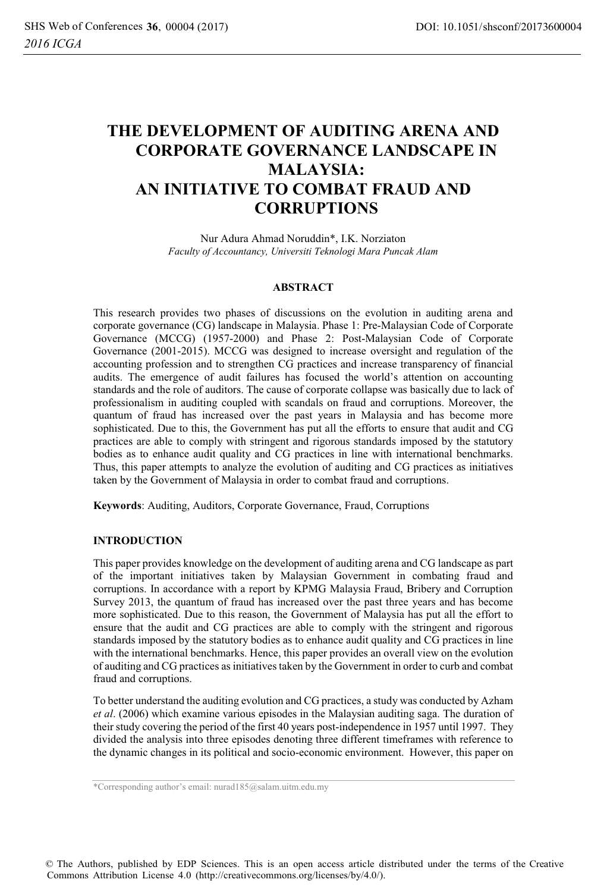# **THE DEVELOPMENT OF AUDITING ARENA AND CORPORATE GOVERNANCE LANDSCAPE IN MALAYSIA: AN INITIATIVE TO COMBAT FRAUD AND CORRUPTIONS**

Nur Adura Ahmad Noruddin\*, I.K. Norziaton<br>Faculty of Accountancy, Universiti Teknologi Mara Puncak Alam *Faculty of Accountancy, Universiti Teknologi Mara Puncak Alam* 

#### **ABSTRACT**

This research provides two phases of discussions on the evolution in auditing arena and corporate governance (CG) landscape in Malaysia. Phase 1: Pre-Malaysian Code of Corporate Governance (MCCG) (1957-2000) and Phase 2: Post-Malaysian Code of Corporate Governance (2001-2015). MCCG was designed to increase oversight and regulation of the accounting profession and to strengthen CG practices and increase transparency of financial audits. The emergence of audit failures has focused the world's attention on accounting standards and the role of auditors. The cause of corporate collapse was basically due to lack of professionalism in auditing coupled with scandals on fraud and corruptions. Moreover, the quantum of fraud has increased over the past years in Malaysia and has become more sophisticated. Due to this, the Government has put all the efforts to ensure that audit and CG practices are able to comply with stringent and rigorous standards imposed by the statutory bodies as to enhance audit quality and CG practices in line with international benchmarks. Thus, this paper attempts to analyze the evolution of auditing and CG practices as initiatives taken by the Government of Malaysia in order to combat fraud and corruptions.

**Keywords**: Auditing, Auditors, Corporate Governance, Fraud, Corruptions

#### **INTRODUCTION**

This paper provides knowledge on the development of auditing arena and CG landscape as part of the important initiatives taken by Malaysian Government in combating fraud and corruptions. In accordance with a report by KPMG Malaysia Fraud, Bribery and Corruption Survey 2013, the quantum of fraud has increased over the past three years and has become more sophisticated. Due to this reason, the Government of Malaysia has put all the effort to ensure that the audit and CG practices are able to comply with the stringent and rigorous standards imposed by the statutory bodies as to enhance audit quality and CG practices in line with the international benchmarks. Hence, this paper provides an overall view on the evolution of auditing and CG practices as initiatives taken by the Government in order to curb and combat fraud and corruptions.

To better understand the auditing evolution and CG practices, a study was conducted by Azham *et al.* (2006) which examine various episodes in the Malaysian auditing saga. The duration of *et al*. (2006) which examine various episodes in the Malaysian auditing saga. The duration of their study covering the period of the first 40 years post-independence in 1957 until 1997. They divided the analysis into three episodes denoting three different timeframes with reference to the dynamic changes in its political and socio-economic environment. However, this paper on

© The Authors, published by EDP Sciences. This is an open access article distributed under the terms of the Creative Commons Attribution License 4.0 (http://creativecommons.org/licenses/by/4.0/).

<sup>\*</sup>Corresponding author's email: nurad185@salam.uitm.edu.my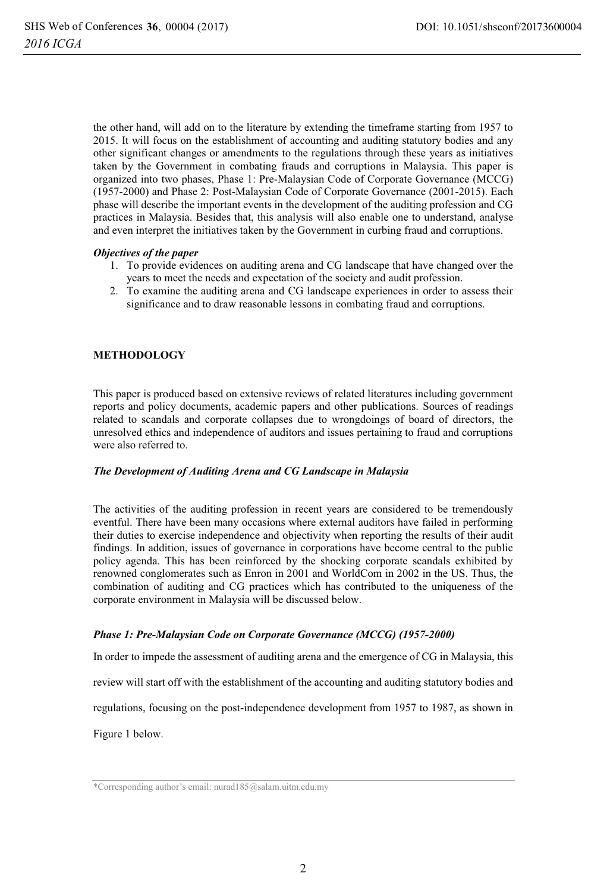the other hand, will add on to the literature by extending the timeframe starting from 1957 to 2015. It will focus on the establishment of accounting and auditing statutory bodies and any other significant changes or amendments to the regulations through these years as initiatives taken by the Government in combating frauds and corruptions in Malaysia. This paper is organized into two phases, Phase 1: Pre-Malaysian Code of Corporate Governance (MCCG) (1957-2000) and Phase 2: Post-Malaysian Code of Corporate Governance (2001-2015). Each phase will describe the important events in the development of the auditing profession and CG practices in Malaysia. Besides that, this analysis will also enable one to understand, analyse and even interpret the initiatives taken by the Government in curbing fraud and corruptions.

#### *Objectives of the paper*

- 1. To provide evidences on auditing arena and CG landscape that have changed over the years to meet the needs and expectation of the society and audit profession.
- 2. To examine the auditing arena and CG landscape experiences in order to assess their significance and to draw reasonable lessons in combating fraud and corruptions.

## **METHODOLOGY**

This paper is produced based on extensive reviews of related literatures including government reports and policy documents, academic papers and other publications. Sources of readings related to scandals and corporate collapses due to wrongdoings of board of directors, the unresolved ethics and independence of auditors and issues pertaining to fraud and corruptions were also referred to.

#### *The Development of Auditing Arena and CG Landscape in Malaysia*

The activities of the auditing profession in recent years are considered to be tremendously eventful. There have been many occasions where external auditors have failed in performing their duties to exercise independence and objectivity when reporting the results of their audit findings. In addition, issues of governance in corporations have become central to the public policy agenda. This has been reinforced by the shocking corporate scandals exhibited by renowned conglomerates such as Enron in 2001 and WorldCom in 2002 in the US. Thus, the combination of auditing and CG practices which has contributed to the uniqueness of the corporate environment in Malaysia will be discussed below.

#### *Phase 1: Pre-Malaysian Code on Corporate Governance (MCCG) (1957-2000)*

In order to impede the assessment of auditing arena and the emergence of CG in Malaysia, this

review will start off with the establishment of the accounting and auditing statutory bodies and

regulations, focusing on the post-independence development from 1957 to 1987, as shown in

Figure 1 below.

<sup>\*</sup>Corresponding author's email: nurad185@salam.uitm.edu.my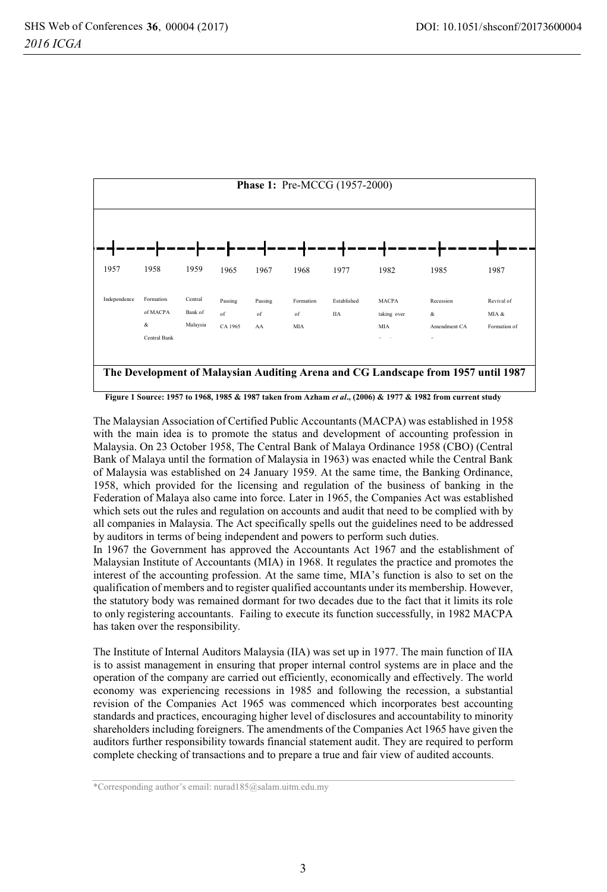

**Figure 1 Source: 1957 to 1968, 1985 & 1987 taken from Azham** *et al***., (2006) & 1977 & 1982 from current study** 

The Malaysian Association of Certified Public Accountants (MACPA) was established in 1958 with the main idea is to promote the status and development of accounting profession in Malaysia. On 23 October 1958, The Central Bank of Malaya Ordinance 1958 (CBO) (Central Bank of Malaya until the formation of Malaysia in 1963) was enacted while the Central Bank of Malaysia was established on 24 January 1959. At the same time, the Banking Ordinance, 1958, which provided for the licensing and regulation of the business of banking in the Federation of Malaya also came into force. Later in 1965, the Companies Act was established which sets out the rules and regulation on accounts and audit that need to be complied with by all companies in Malaysia. The Act specifically spells out the guidelines need to be addressed by auditors in terms of being independent and powers to perform such duties.

In 1967 the Government has approved the Accountants Act 1967 and the establishment of Malaysian Institute of Accountants (MIA) in 1968. It regulates the practice and promotes the interest of the accounting profession. At the same time, MIA's function is also to set on the qualification of members and to register qualified accountants under its membership. However, the statutory body was remained dormant for two decades due to the fact that it limits its role to only registering accountants. Failing to execute its function successfully, in 1982 MACPA has taken over the responsibility.

The Institute of Internal Auditors Malaysia (IIA) was set up in 1977. The main function of IIA is to assist management in ensuring that proper internal control systems are in place and the operation of the company are carried out efficiently, economically and effectively. The world economy was experiencing recessions in 1985 and following the recession, a substantial revision of the Companies Act 1965 was commenced which incorporates best accounting standards and practices, encouraging higher level of disclosures and accountability to minority shareholders including foreigners. The amendments of the Companies Act 1965 have given the auditors further responsibility towards financial statement audit. They are required to perform complete checking of transactions and to prepare a true and fair view of audited accounts.

<sup>\*</sup>Corresponding author's email: nurad185@salam.uitm.edu.my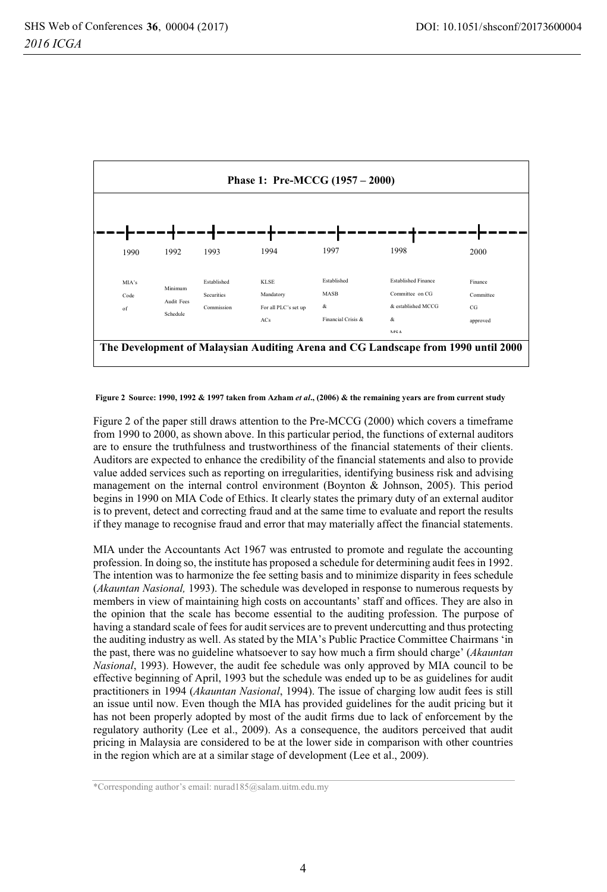

 **Figure 2 Source: 1990, 1992 & 1997 taken from Azham** *et al***., (2006) & the remaining years are from current study** 

Figure 2 of the paper still draws attention to the Pre-MCCG (2000) which covers a timeframe from 1990 to 2000, as shown above. In this particular period, the functions of external auditors are to ensure the truthfulness and trustworthiness of the financial statements of their clients. Auditors are expected to enhance the credibility of the financial statements and also to provide value added services such as reporting on irregularities, identifying business risk and advising management on the internal control environment (Boynton & Johnson, 2005). This period begins in 1990 on MIA Code of Ethics. It clearly states the primary duty of an external auditor is to prevent, detect and correcting fraud and at the same time to evaluate and report the results if they manage to recognise fraud and error that may materially affect the financial statements.

MIA under the Accountants Act 1967 was entrusted to promote and regulate the accounting profession. In doing so, the institute has proposed a schedule for determining audit fees in 1992. The intention was to harmonize the fee setting basis and to minimize disparity in fees schedule (*Akauntan Nasional,* 1993). The schedule was developed in response to numerous requests by members in view of maintaining high costs on accountants' staff and offices. They are also in the opinion that the scale has become essential to the auditing profession. The purpose of having a standard scale of fees for audit services are to prevent undercutting and thus protecting the auditing industry as well. As stated by the MIA's Public Practice Committee Chairmans 'in the past, there was no guideline whatsoever to say how much a firm should charge' (*Akauntan Nasional*, 1993). However, the audit fee schedule was only approved by MIA council to be effective beginning of April, 1993 but the schedule was ended up to be as guidelines for audit practitioners in 1994 (*Akauntan Nasional*, 1994). The issue of charging low audit fees is still an issue until now. Even though the MIA has provided guidelines for the audit pricing but it has not been properly adopted by most of the audit firms due to lack of enforcement by the regulatory authority (Lee et al., 2009). As a consequence, the auditors perceived that audit pricing in Malaysia are considered to be at the lower side in comparison with other countries in the region which are at a similar stage of development (Lee et al., 2009).

<sup>\*</sup>Corresponding author's email: nurad185@salam.uitm.edu.my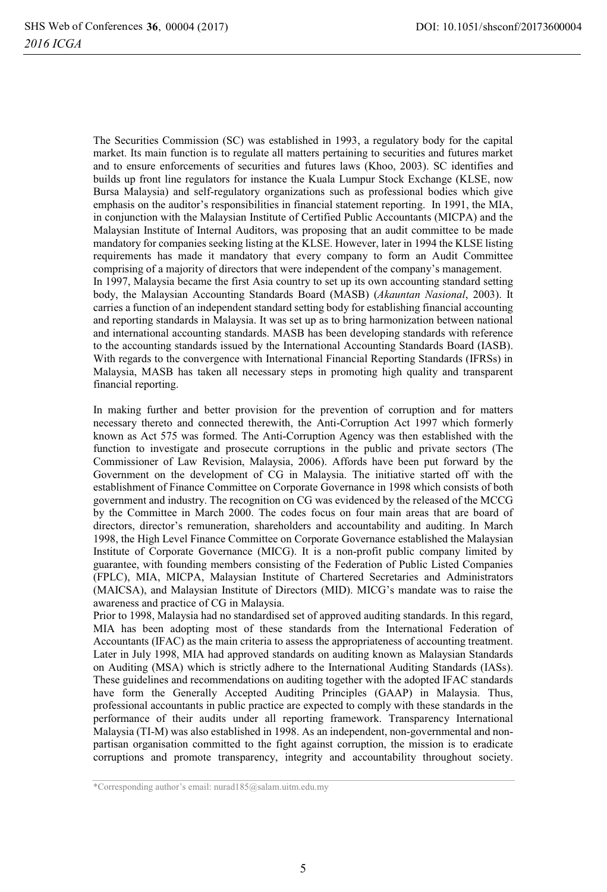The Securities Commission (SC) was established in 1993, a regulatory body for the capital market. Its main function is to regulate all matters pertaining to securities and futures market and to ensure enforcements of securities and futures laws (Khoo, 2003). SC identifies and builds up front line regulators for instance the Kuala Lumpur Stock Exchange (KLSE, now Bursa Malaysia) and self-regulatory organizations such as professional bodies which give emphasis on the auditor's responsibilities in financial statement reporting. In 1991, the MIA, in conjunction with the Malaysian Institute of Certified Public Accountants (MICPA) and the Malaysian Institute of Internal Auditors, was proposing that an audit committee to be made mandatory for companies seeking listing at the KLSE. However, later in 1994 the KLSE listing requirements has made it mandatory that every company to form an Audit Committee comprising of a majority of directors that were independent of the company's management. In 1997, Malaysia became the first Asia country to set up its own accounting standard setting body, the Malaysian Accounting Standards Board (MASB) (*Akauntan Nasional*, 2003). It carries a function of an independent standard setting body for establishing financial accounting and reporting standards in Malaysia. It was set up as to bring harmonization between national and international accounting standards. MASB has been developing standards with reference to the accounting standards issued by the International Accounting Standards Board (IASB). With regards to the convergence with International Financial Reporting Standards (IFRSs) in Malaysia, MASB has taken all necessary steps in promoting high quality and transparent financial reporting.

In making further and better provision for the prevention of corruption and for matters necessary thereto and connected therewith, the Anti-Corruption Act 1997 which formerly known as Act 575 was formed. The Anti-Corruption Agency was then established with the function to investigate and prosecute corruptions in the public and private sectors (The Commissioner of Law Revision, Malaysia, 2006). Affords have been put forward by the Government on the development of CG in Malaysia. The initiative started off with the establishment of Finance Committee on Corporate Governance in 1998 which consists of both government and industry. The recognition on CG was evidenced by the released of the MCCG by the Committee in March 2000. The codes focus on four main areas that are board of directors, director's remuneration, shareholders and accountability and auditing. In March 1998, the High Level Finance Committee on Corporate Governance established the Malaysian Institute of Corporate Governance (MICG). It is a non-profit public company limited by guarantee, with founding members consisting of the Federation of Public Listed Companies (FPLC), MIA, MICPA, Malaysian Institute of Chartered Secretaries and Administrators (MAICSA), and Malaysian Institute of Directors (MID). MICG's mandate was to raise the awareness and practice of CG in Malaysia.

Prior to 1998, Malaysia had no standardised set of approved auditing standards. In this regard, MIA has been adopting most of these standards from the International Federation of Accountants (IFAC) as the main criteria to assess the appropriateness of accounting treatment. Later in July 1998, MIA had approved standards on auditing known as Malaysian Standards on Auditing (MSA) which is strictly adhere to the International Auditing Standards (IASs). These guidelines and recommendations on auditing together with the adopted IFAC standards have form the Generally Accepted Auditing Principles (GAAP) in Malaysia. Thus, professional accountants in public practice are expected to comply with these standards in the performance of their audits under all reporting framework. Transparency International Malaysia (TI-M) was also established in 1998. As an independent, non-governmental and nonpartisan organisation committed to the fight against corruption, the mission is to eradicate corruptions and promote transparency, integrity and accountability throughout society.

<sup>\*</sup>Corresponding author's email: nurad185@salam.uitm.edu.my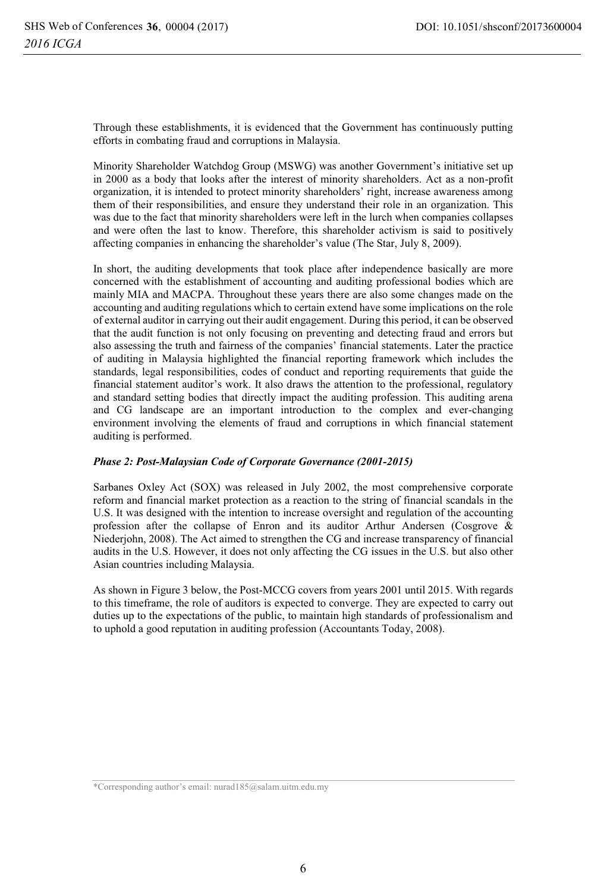Through these establishments, it is evidenced that the Government has continuously putting efforts in combating fraud and corruptions in Malaysia.

Minority Shareholder Watchdog Group (MSWG) was another Government's initiative set up in 2000 as a body that looks after the interest of minority shareholders. Act as a non-profit organization, it is intended to protect minority shareholders' right, increase awareness among them of their responsibilities, and ensure they understand their role in an organization. This was due to the fact that minority shareholders were left in the lurch when companies collapses and were often the last to know. Therefore, this shareholder activism is said to positively affecting companies in enhancing the shareholder's value (The Star, July 8, 2009).

In short, the auditing developments that took place after independence basically are more concerned with the establishment of accounting and auditing professional bodies which are mainly MIA and MACPA. Throughout these years there are also some changes made on the accounting and auditing regulations which to certain extend have some implications on the role of external auditor in carrying out their audit engagement. During this period, it can be observed that the audit function is not only focusing on preventing and detecting fraud and errors but also assessing the truth and fairness of the companies' financial statements. Later the practice of auditing in Malaysia highlighted the financial reporting framework which includes the standards, legal responsibilities, codes of conduct and reporting requirements that guide the financial statement auditor's work. It also draws the attention to the professional, regulatory and standard setting bodies that directly impact the auditing profession. This auditing arena and CG landscape are an important introduction to the complex and ever-changing environment involving the elements of fraud and corruptions in which financial statement auditing is performed.

## *Phase 2: Post-Malaysian Code of Corporate Governance (2001-2015)*

Sarbanes Oxley Act (SOX) was released in July 2002, the most comprehensive corporate reform and financial market protection as a reaction to the string of financial scandals in the U.S. It was designed with the intention to increase oversight and regulation of the accounting profession after the collapse of Enron and its auditor Arthur Andersen (Cosgrove & Niederjohn, 2008). The Act aimed to strengthen the CG and increase transparency of financial audits in the U.S. However, it does not only affecting the CG issues in the U.S. but also other Asian countries including Malaysia.

As shown in Figure 3 below, the Post-MCCG covers from years 2001 until 2015. With regards to this timeframe, the role of auditors is expected to converge. They are expected to carry out duties up to the expectations of the public, to maintain high standards of professionalism and to uphold a good reputation in auditing profession (Accountants Today, 2008).

<sup>\*</sup>Corresponding author's email: nurad185@salam.uitm.edu.my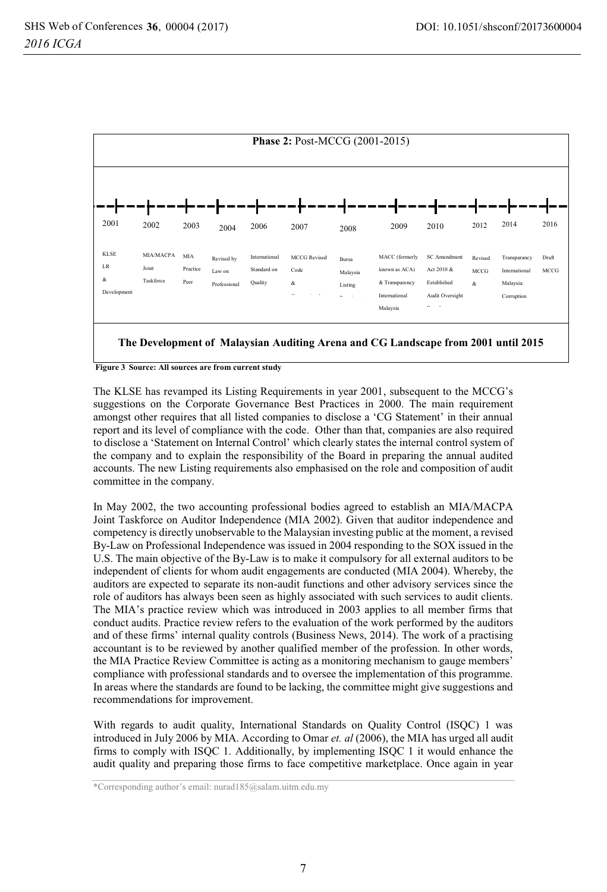

 **Figure 3 Source: All sources are from current study** 

The KLSE has revamped its Listing Requirements in year 2001, subsequent to the MCCG's suggestions on the Corporate Governance Best Practices in 2000. The main requirement amongst other requires that all listed companies to disclose a 'CG Statement' in their annual report and its level of compliance with the code. Other than that, companies are also required to disclose a 'Statement on Internal Control' which clearly states the internal control system of the company and to explain the responsibility of the Board in preparing the annual audited accounts. The new Listing requirements also emphasised on the role and composition of audit committee in the company.

In May 2002, the two accounting professional bodies agreed to establish an MIA/MACPA Joint Taskforce on Auditor Independence (MIA 2002). Given that auditor independence and competency is directly unobservable to the Malaysian investing public at the moment, a revised By-Law on Professional Independence was issued in 2004 responding to the SOX issued in the U.S. The main objective of the By-Law is to make it compulsory for all external auditors to be independent of clients for whom audit engagements are conducted (MIA 2004). Whereby, the auditors are expected to separate its non-audit functions and other advisory services since the role of auditors has always been seen as highly associated with such services to audit clients. The MIA's practice review which was introduced in 2003 applies to all member firms that conduct audits. Practice review refers to the evaluation of the work performed by the auditors and of these firms' internal quality controls (Business News, 2014). The work of a practising accountant is to be reviewed by another qualified member of the profession. In other words, the MIA Practice Review Committee is acting as a monitoring mechanism to gauge members' compliance with professional standards and to oversee the implementation of this programme. In areas where the standards are found to be lacking, the committee might give suggestions and recommendations for improvement.

With regards to audit quality, International Standards on Quality Control (ISQC) 1 was introduced in July 2006 by MIA. According to Omar *et. al* (2006), the MIA has urged all audit firms to comply with ISQC 1. Additionally, by implementing ISQC 1 it would enhance the audit quality and preparing those firms to face competitive marketplace. Once again in year

\*Corresponding author's email: nurad185@salam.uitm.edu.my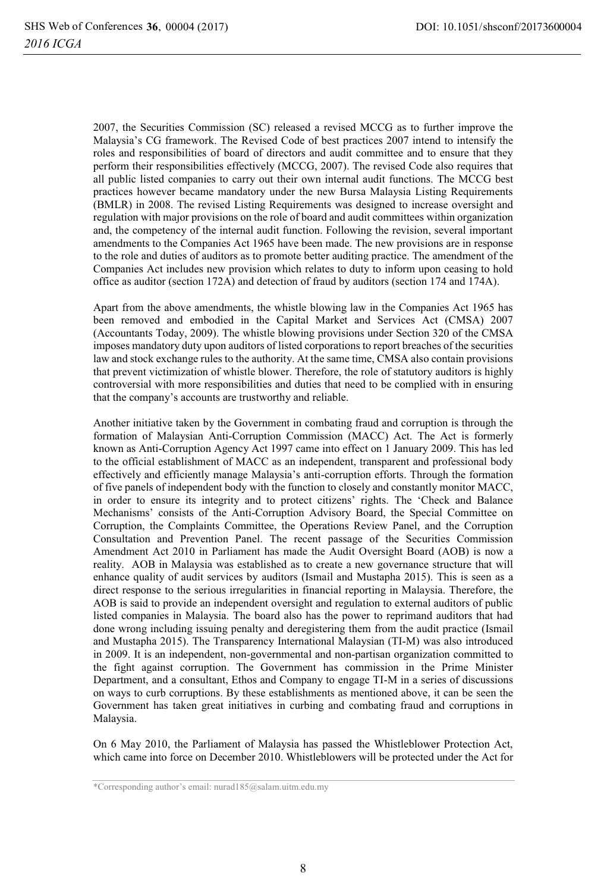2007, the Securities Commission (SC) released a revised MCCG as to further improve the Malaysia's CG framework. The Revised Code of best practices 2007 intend to intensify the roles and responsibilities of board of directors and audit committee and to ensure that they perform their responsibilities effectively (MCCG, 2007). The revised Code also requires that all public listed companies to carry out their own internal audit functions. The MCCG best practices however became mandatory under the new Bursa Malaysia Listing Requirements (BMLR) in 2008. The revised Listing Requirements was designed to increase oversight and regulation with major provisions on the role of board and audit committees within organization and, the competency of the internal audit function. Following the revision, several important amendments to the Companies Act 1965 have been made. The new provisions are in response to the role and duties of auditors as to promote better auditing practice. The amendment of the Companies Act includes new provision which relates to duty to inform upon ceasing to hold office as auditor (section 172A) and detection of fraud by auditors (section 174 and 174A).

Apart from the above amendments, the whistle blowing law in the Companies Act 1965 has been removed and embodied in the Capital Market and Services Act (CMSA) 2007 (Accountants Today, 2009). The whistle blowing provisions under Section 320 of the CMSA imposes mandatory duty upon auditors of listed corporations to report breaches of the securities law and stock exchange rules to the authority. At the same time, CMSA also contain provisions that prevent victimization of whistle blower. Therefore, the role of statutory auditors is highly controversial with more responsibilities and duties that need to be complied with in ensuring that the company's accounts are trustworthy and reliable.

Another initiative taken by the Government in combating fraud and corruption is through the formation of Malaysian Anti-Corruption Commission (MACC) Act. The Act is formerly known as Anti-Corruption Agency Act 1997 came into effect on 1 January 2009. This has led to the official establishment of MACC as an independent, transparent and professional body effectively and efficiently manage Malaysia's anti-corruption efforts. Through the formation of five panels of independent body with the function to closely and constantly monitor MACC, in order to ensure its integrity and to protect citizens' rights. The 'Check and Balance Mechanisms' consists of the Anti-Corruption Advisory Board, the Special Committee on Corruption, the Complaints Committee, the Operations Review Panel, and the Corruption Consultation and Prevention Panel. The recent passage of the Securities Commission Amendment Act 2010 in Parliament has made the Audit Oversight Board (AOB) is now a reality. AOB in Malaysia was established as to create a new governance structure that will enhance quality of audit services by auditors (Ismail and Mustapha 2015). This is seen as a direct response to the serious irregularities in financial reporting in Malaysia. Therefore, the AOB is said to provide an independent oversight and regulation to external auditors of public listed companies in Malaysia. The board also has the power to reprimand auditors that had done wrong including issuing penalty and deregistering them from the audit practice (Ismail and Mustapha 2015). The Transparency International Malaysian (TI-M) was also introduced in 2009. It is an independent, non-governmental and non-partisan organization committed to the fight against corruption. The Government has commission in the Prime Minister Department, and a consultant, Ethos and Company to engage TI-M in a series of discussions on ways to curb corruptions. By these establishments as mentioned above, it can be seen the Government has taken great initiatives in curbing and combating fraud and corruptions in Malaysia.

On 6 May 2010, the Parliament of Malaysia has passed the Whistleblower Protection Act, which came into force on December 2010. Whistleblowers will be protected under the Act for

<sup>\*</sup>Corresponding author's email: nurad185@salam.uitm.edu.my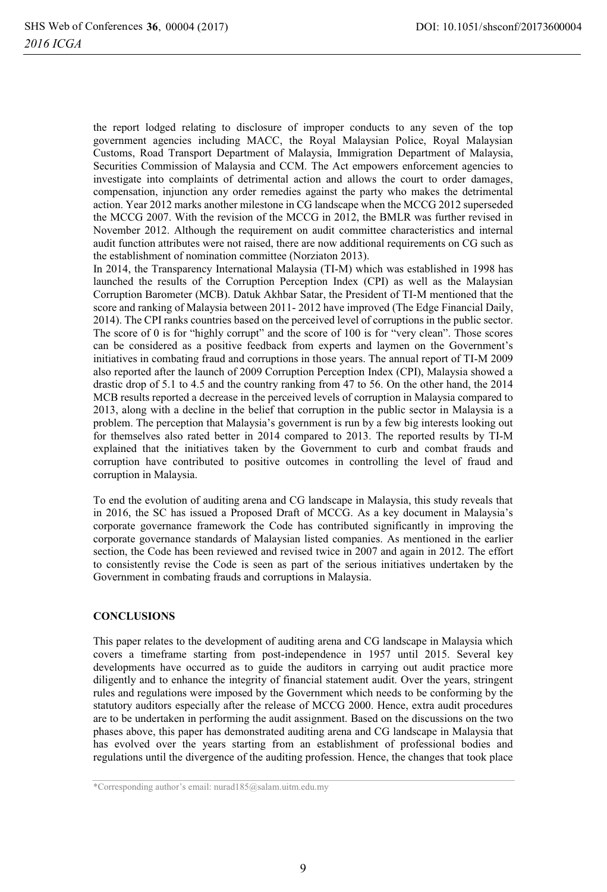the report lodged relating to disclosure of improper conducts to any seven of the top government agencies including MACC, the Royal Malaysian Police, Royal Malaysian Customs, Road Transport Department of Malaysia, Immigration Department of Malaysia, Securities Commission of Malaysia and CCM. The Act empowers enforcement agencies to investigate into complaints of detrimental action and allows the court to order damages, compensation, injunction any order remedies against the party who makes the detrimental action. Year 2012 marks another milestone in CG landscape when the MCCG 2012 superseded the MCCG 2007. With the revision of the MCCG in 2012, the BMLR was further revised in November 2012. Although the requirement on audit committee characteristics and internal audit function attributes were not raised, there are now additional requirements on CG such as the establishment of nomination committee (Norziaton 2013).

In 2014, the Transparency International Malaysia (TI-M) which was established in 1998 has launched the results of the Corruption Perception Index (CPI) as well as the Malaysian Corruption Barometer (MCB). Datuk Akhbar Satar, the President of TI-M mentioned that the score and ranking of Malaysia between 2011- 2012 have improved (The Edge Financial Daily, 2014). The CPI ranks countries based on the perceived level of corruptions in the public sector. The score of 0 is for "highly corrupt" and the score of 100 is for "very clean". Those scores can be considered as a positive feedback from experts and laymen on the Government's initiatives in combating fraud and corruptions in those years. The annual report of TI-M 2009 also reported after the launch of 2009 Corruption Perception Index (CPI), Malaysia showed a drastic drop of 5.1 to 4.5 and the country ranking from 47 to 56. On the other hand, the 2014 MCB results reported a decrease in the perceived levels of corruption in Malaysia compared to 2013, along with a decline in the belief that corruption in the public sector in Malaysia is a problem. The perception that Malaysia's government is run by a few big interests looking out for themselves also rated better in 2014 compared to 2013. The reported results by TI-M explained that the initiatives taken by the Government to curb and combat frauds and corruption have contributed to positive outcomes in controlling the level of fraud and corruption in Malaysia.

To end the evolution of auditing arena and CG landscape in Malaysia, this study reveals that in 2016, the SC has issued a Proposed Draft of MCCG. As a key document in Malaysia's corporate governance framework the Code has contributed significantly in improving the corporate governance standards of Malaysian listed companies. As mentioned in the earlier section, the Code has been reviewed and revised twice in 2007 and again in 2012. The effort to consistently revise the Code is seen as part of the serious initiatives undertaken by the Government in combating frauds and corruptions in Malaysia.

## **CONCLUSIONS**

This paper relates to the development of auditing arena and CG landscape in Malaysia which covers a timeframe starting from post-independence in 1957 until 2015. Several key developments have occurred as to guide the auditors in carrying out audit practice more diligently and to enhance the integrity of financial statement audit. Over the years, stringent rules and regulations were imposed by the Government which needs to be conforming by the statutory auditors especially after the release of MCCG 2000. Hence, extra audit procedures are to be undertaken in performing the audit assignment. Based on the discussions on the two phases above, this paper has demonstrated auditing arena and CG landscape in Malaysia that has evolved over the years starting from an establishment of professional bodies and regulations until the divergence of the auditing profession. Hence, the changes that took place

<sup>\*</sup>Corresponding author's email: nurad185@salam.uitm.edu.my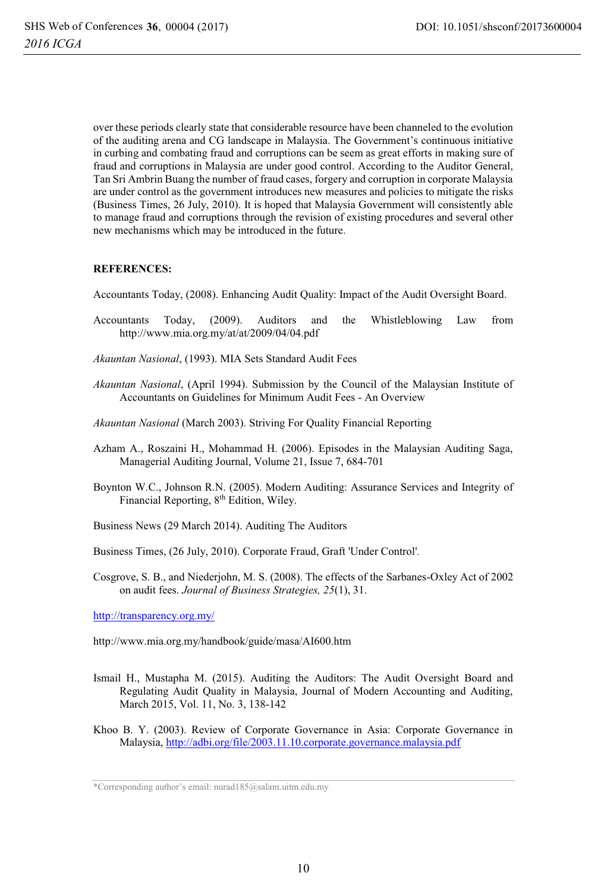over these periods clearly state that considerable resource have been channeled to the evolution of the auditing arena and CG landscape in Malaysia. The Government's continuous initiative in curbing and combating fraud and corruptions can be seem as great efforts in making sure of fraud and corruptions in Malaysia are under good control. According to the Auditor General, Tan Sri Ambrin Buang the number of fraud cases, forgery and corruption in corporate Malaysia are under control as the government introduces new measures and policies to mitigate the risks (Business Times, 26 July, 2010). It is hoped that Malaysia Government will consistently able to manage fraud and corruptions through the revision of existing procedures and several other new mechanisms which may be introduced in the future.

## **REFERENCES:**

Accountants Today, (2008). Enhancing Audit Quality: Impact of the Audit Oversight Board.

- Accountants Today, (2009). Auditors and the Whistleblowing Law from http://www.mia.org.my/at/at/2009/04/04.pdf
- *Akauntan Nasional*, (1993). MIA Sets Standard Audit Fees
- *Akauntan Nasional*, (April 1994). Submission by the Council of the Malaysian Institute of Accountants on Guidelines for Minimum Audit Fees - An Overview
- *Akauntan Nasional* (March 2003). Striving For Quality Financial Reporting
- Azham A., Roszaini H., Mohammad H. (2006). Episodes in the Malaysian Auditing Saga, Managerial Auditing Journal, Volume 21, Issue 7, 684-701
- Boynton W.C., Johnson R.N. (2005). Modern Auditing: Assurance Services and Integrity of Financial Reporting, 8th Edition, Wiley.
- Business News (29 March 2014). Auditing The Auditors
- Business Times, (26 July, 2010). Corporate Fraud, Graft 'Under Control'*.*
- Cosgrove, S. B., and Niederjohn, M. S. (2008). The effects of the Sarbanes-Oxley Act of 2002 on audit fees. *Journal of Business Strategies, 25*(1), 31.

http://transparency.org.my/

http://www.mia.org.my/handbook/guide/masa/AI600.htm

- Ismail H., Mustapha M. (2015). Auditing the Auditors: The Audit Oversight Board and Regulating Audit Quality in Malaysia, Journal of Modern Accounting and Auditing, March 2015, Vol. 11, No. 3, 138-142
- Khoo B. Y. (2003). Review of Corporate Governance in Asia: Corporate Governance in Malaysia, http://adbi.org/file/2003.11.10.corporate.governance.malaysia.pdf

<sup>\*</sup>Corresponding author's email: nurad185@salam.uitm.edu.my